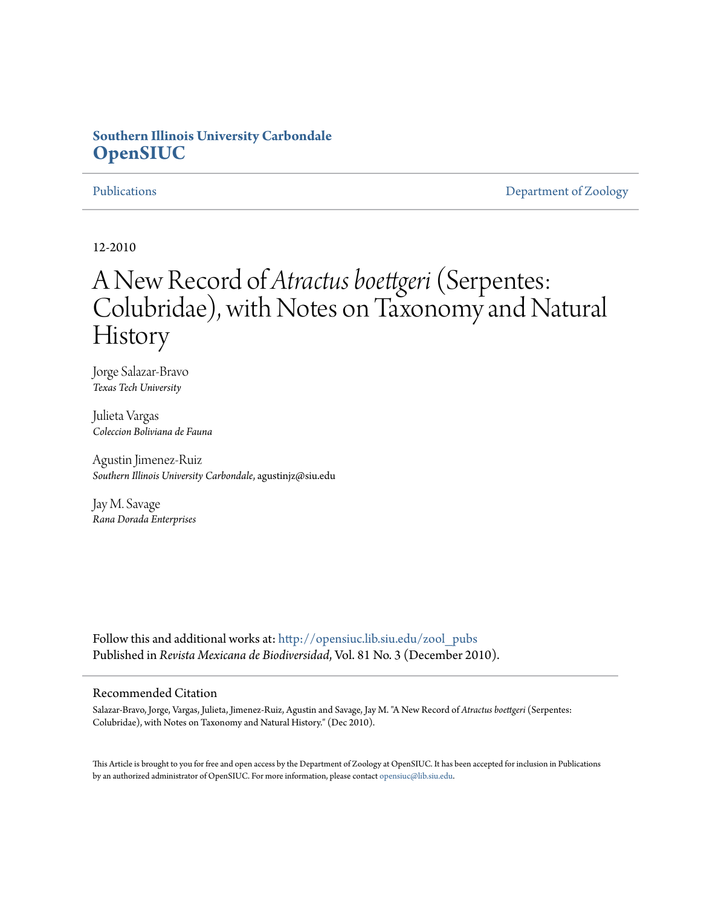## **Southern Illinois University Carbondale [OpenSIUC](http://opensiuc.lib.siu.edu?utm_source=opensiuc.lib.siu.edu%2Fzool_pubs%2F36&utm_medium=PDF&utm_campaign=PDFCoverPages)**

[Publications](http://opensiuc.lib.siu.edu/zool_pubs?utm_source=opensiuc.lib.siu.edu%2Fzool_pubs%2F36&utm_medium=PDF&utm_campaign=PDFCoverPages) **[Department of Zoology](http://opensiuc.lib.siu.edu/zool?utm_source=opensiuc.lib.siu.edu%2Fzool_pubs%2F36&utm_medium=PDF&utm_campaign=PDFCoverPages)** 

12-2010

# A New Record of *Atractus boettgeri*(Serpentes: Colubridae), with Notes on Taxonomy and Natural History

Jorge Salazar-Bravo *Texas Tech University*

Julieta Vargas *Coleccion Boliviana de Fauna*

Agustin Jimenez-Ruiz *Southern Illinois University Carbondale*, agustinjz@siu.edu

Jay M. Savage *Rana Dorada Enterprises*

Follow this and additional works at: [http://opensiuc.lib.siu.edu/zool\\_pubs](http://opensiuc.lib.siu.edu/zool_pubs?utm_source=opensiuc.lib.siu.edu%2Fzool_pubs%2F36&utm_medium=PDF&utm_campaign=PDFCoverPages) Published in *Revista Mexicana de Biodiversidad*, Vol. 81 No. 3 (December 2010).

### Recommended Citation

Salazar-Bravo, Jorge, Vargas, Julieta, Jimenez-Ruiz, Agustin and Savage, Jay M. "A New Record of *Atractus boettgeri* (Serpentes: Colubridae), with Notes on Taxonomy and Natural History." (Dec 2010).

This Article is brought to you for free and open access by the Department of Zoology at OpenSIUC. It has been accepted for inclusion in Publications by an authorized administrator of OpenSIUC. For more information, please contact [opensiuc@lib.siu.edu.](mailto:opensiuc@lib.siu.edu)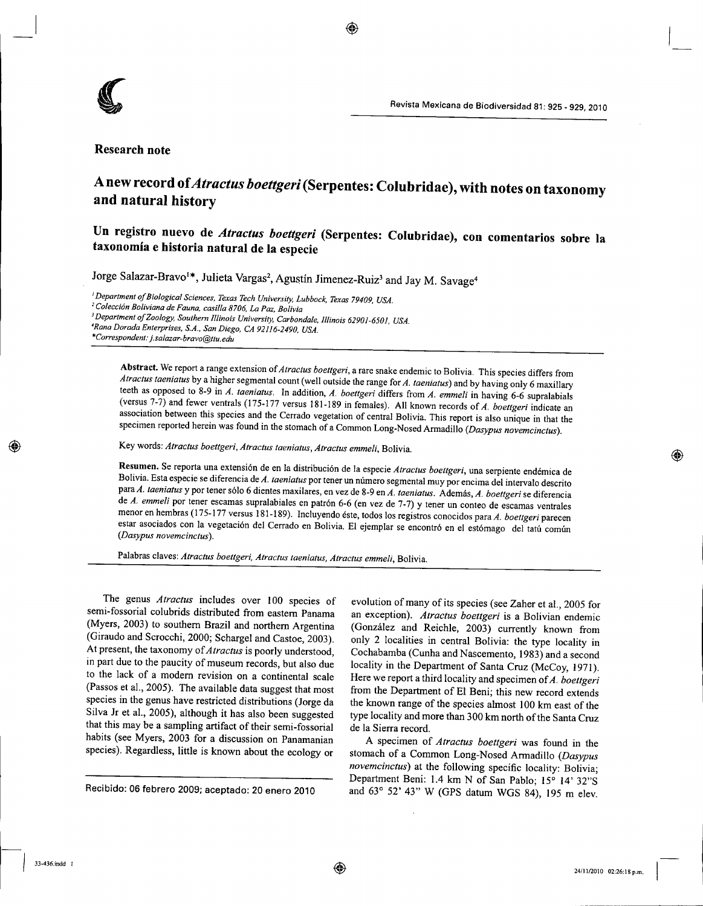

#### **Research note**

# **A new record of***Atraetus boettgeri* **(Serpentes: Colubridae), with notes on taxonomy and natural history**

⊛

**Un registro nuevo de** *Atractus boettgeri* **(Serpentes: Colubridae), con comentarios sobre la taxonomia e historia natural de la especie**

Jorge Salazar-Bravo<sup>1\*</sup>, Julieta Vargas<sup>2</sup>, Agustín Jimenez-Ruiz<sup>3</sup> and Jay M. Savage

I*Department oj Biological Sciences, Texas Tech University, Lubbock, Texas 79409, USA. <sup>2</sup> Coleccion Boliviana de Fauna, casilla 8706, La Paz, Bolivia* <sup>J</sup> *Department ojZoology, Southern Illinois University, Carbondale, Illinois 62901-6501, USA. 'Rana Dorada Enterprises. S.A.. San Diego, CA 92116-2490, USA. •Correspondent: j. [salazar-bravo@ttu.edu](mailto:salazar-bravo@ttu.edu)*

Abstract. We report a range extension of *Atractus boettgeri,* a rare snake endemic to Bolivia. This species differs from *Atractus taeniatus* by a higher segmental count (well outside the range for *A. taeniatus*) and by having only 6 maxillary teeth as opposed to 8-9 in *A. taeniatus.* In addition, *A. boettgeri* differs from *A. emme/i* in having 6-6 supralabials (versus 7-7) and fewer ventrals (175-177 versus 181-189 in females). All known records of *A. boettgeri* indicate an association between this species and the Cerrado vegetation of central Bolivia. This report is also unique in that the specimen reported herein was found in the stomach of a Common Long-Nosed Armadillo *(Dasypus novemcinctus).*

Key words: *Atractus boettgeri, A/ractus taeniatus, Atractus emme/i,* Bolivia.

Resumen. Se reporta una extensión de en la distribución de la especie Atractus boettgeri, una serpiente endémica de Bolivia. Esta especie se diferencia de A. taeniatus por tener un número segmental muy por encima del intervalo descrito paraA. *taeniatus* y por tener s6106 dientes maxilares, en vez de 8-9 en *A. taeniatus.* Ademas, *A. boettgeri* se diferencia de *A. emmeli* por tener escamas supralabiales en patrón 6-6 (en vez de 7-7) y tener un conteo de escamas ventrales menor en hembras (175-177 versus 181-189). Incluyendo este, todos los registros conocidos para *A. boettgeri* parecen estar asociados con la vegetación del Cerrado en Bolivia. El ejemplar se encontró en el estómago del tatú común *(Dasypus novemcinctus).*

Palabras claves: *Atractus boettgeri, Atractus taeniatus, Atractus emmeli,* Bolivia.

The genus Atractus includes over 100 species of semi-fossorial colubrids distributed from eastern Panama (Myers, 2003) to southern Brazil and northern Argentina (Giraudo and Scrocchi, 2000; Schargel and Castoe, 2003). At present, the taxonomy of *Atractus* is poorly understood, in part due to the paucity of museum records, but also due to the lack of a modem revision on a continental scale (Passos et aI., 2005). The available data suggest that most species in the genus have restricted distributions (Jorge da Silva Jr et aI., 2005), although it has also been suggested that this may be a sampling artifact of their semi-fossorial habits (see Myers, 2003 for a discussion on Panamanian species). Regardless, little is known about the ecology or

Recibido: 06 febrero 2009; aceptado: 20 enero 2010

evolution of many of its species (see Zaher et aI., 2005 for an exception). *Atractus boettgeri* is a Bolivian endemic (Gonzalez and Reichle, 2003) currently known from only 2 localities in central Bolivia: the type locality in Cochabamba (Cunha and Nascemento, 1983) and a second locality in the Department of Santa Cruz (McCoy, 1971). Here we report a third locality and specimen of *A. boettgeri* from the Department of EI Beni; this new record extends the known range of the species almost 100 km east of the type locality and more than 300 km north of the Santa Cruz de la Sierra record.

A specimen of *A/rae/us boettgeri* was found in the stomach of a Common Long-Nosed Armadillo *(Dasypus novemcinctus*) at the following specific locality: Bolivia; Department Beni: 1.4 km N of San Pablo; 15° 14' 32"S and 63° 52' 43" W (GPS datum WGS 84), 195 m elev.

⊛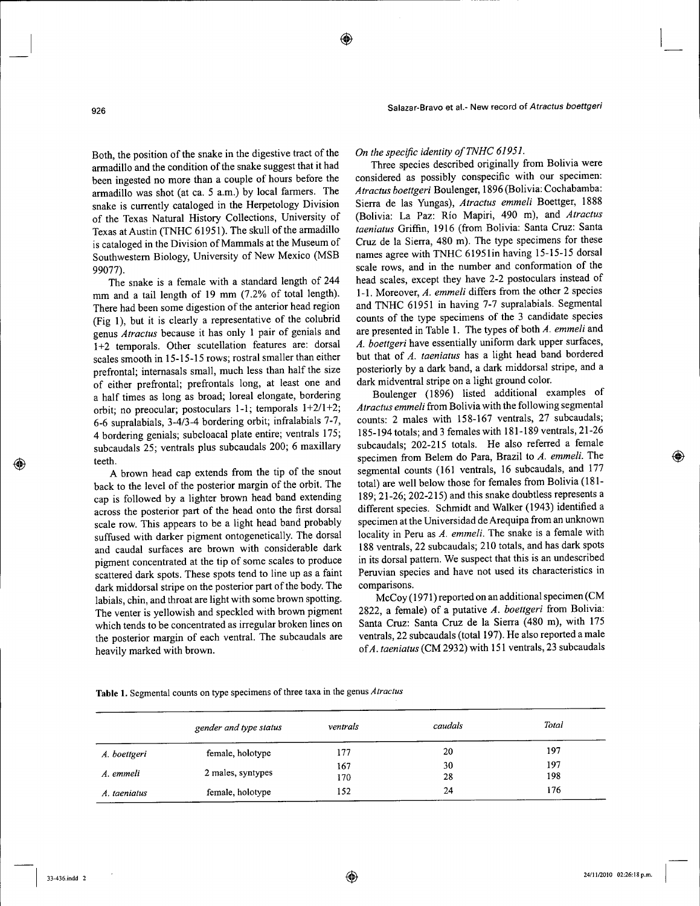Salazar-Bravo et al.- New record of *Atractus boettgeri*

Both, the position of the snake in the digestive tract of the armadillo and the condition of the snake suggest that it had been ingested no more than a couple of hours before the armadillo was shot (at ca. 5 a.m.) by local farmers. The snake is currently cataloged in the Herpetology Division of the Texas Natural History Collections, University of Texas at Austin (TNHC 61951). The skull of the armadillo is cataloged in the Division of Mammals at the Museum of Southwestern Biology, University of New Mexico (MSB 99077).

The snake is a female with a standard length of 244 mm and a tail length of 19 mm (7.2% of total length). There had been some digestion of the anterior head region (Fig 1), but it is clearly a representative of the colubrid genus *Atractus* because it has only 1 pair of genials and 1+2 temporals. Other scutellation features are: dorsal scales smooth in 15-15-15 rows; rostral smaller than either prefrontal; internasals small, much less than half the size of either prefrontal; prefrontals long, at least one and a half times as long as broad; loreal elongate, bordering orbit; no preocular; postoculars 1-1; temporals 1+2/1+2; 6-6 supralabials, 3-4/3-4 bordering orbit; infralabials 7-7, 4 bordering genials; subcloacal plate entire; ventrals 175; subcaudals 25; ventrals plus subcaudals 200; 6 maxillary teeth.

A brown head cap extends from the tip of the snout back to the level of the posterior margin of the orbit. The cap is followed by a lighter brown head band extending across the posterior part of the head onto the first dorsal scale row. This appears to be a light head band probably suffused with darker pigment ontogenetically. The dorsal and caudal surfaces are brown with considerable dark pigment concentrated at the tip of some scales to produce scattered dark spots. These spots tend to line up as a faint dark middorsal stripe on the posterior part of the body. The labials, chin, and throat are light with some brown spotting. The venter is yellowish and speckled with brown pigment which tends to be concentrated as irregular broken lines on the posterior margin of each ventral. The subcaudals are heavily marked with brown.

*On the specific identity ofTNHC 61951.*

Three species described originally from Bolivia were considered as possibly conspecific with our specimen: *Atractus boettgeri* Boulenger, 1896(Bolivia: Cochabamba: Sierra de las Yungas), *Atractus emmeli* Boettger, 1888 (Bolivia: La Paz: Rio Mapiri, 490 m), and *Atractus taeniatus* Griffin, 1916 (from Bolivia: Santa Cruz: Santa Cruz de la Sierra, 480 m). The type specimens for these names agree with TNHC 6195lin having 15-15-15 dorsal scale rows, and in the number and conformation of the head scales, except they have 2-2 postoculars instead of 1-1. Moreover, *A. emmeli* differs from the other 2 species and TNHC 61951 in having 7-7 supralabials. Segmental counts of the type specimens of the 3 candidate species are presented in Table 1. The types of both *A. emmeli* and *A. boettgeri* have essentially uniform dark upper surfaces, but that of *A. taeniatus* has a light head band bordered posteriorly by a dark band, a dark middorsal stripe, and a dark midventral stripe on a light ground color.

Boulenger (1896) listed additional examples of *Atractus emmeli* from Bolivia with the following segmental counts: 2 males with 158-167 ventrals, 27 subcaudals; 185-194 totals; and 3 females with 181-189 ventrals, 21-26 subcaudals; 202-215 totals. He also referred a female specimen from Belem do Para, Brazil to *A. emmeli.* The segmental counts (161 ventrals, 16 subcaudals, and 177 total) are well below those for females from Bolivia (181- 189; 21-26; 202-215) and this snake doubtless represents a different species. Schmidt and Walker (1943) identified a specimen at the Universidad de Arequipa from an unknown locality in Peru as *A. emmeli.* The snake is a female with 188 ventrals, 22 subcaudals; 210 totals, and has dark spots in its dorsal pattern. We suspect that this is an undescribed Peruvian species and have not used its characteristics in comparisons.

McCoy (1971) reported on an additional specimen (CM 2822, a female) of a putative *A. boettgeri* from Bolivia: Santa Cruz: Santa Cruz de la Sierra (480 m), with 175 ventrals, 22 subcaudals (total 197). He also reported a male *ofA. taeniatus* (CM 2932) with 151 ventrals, 23 subcaudals

|  | Table 1. Segmental counts on type specimens of three taxa in the genus <i>Atractus</i> |  |
|--|----------------------------------------------------------------------------------------|--|
|--|----------------------------------------------------------------------------------------|--|

|              | gender and type status | ventrals   | caudals  | Total      |
|--------------|------------------------|------------|----------|------------|
| A. boettgeri | female, holotype       | 177        | 20       | 197        |
| A. emmeli    | 2 males, syntypes      | 167<br>170 | 30<br>28 | 197<br>198 |
| A. taeniatus | female, holotype       | 152        | 24       | 176        |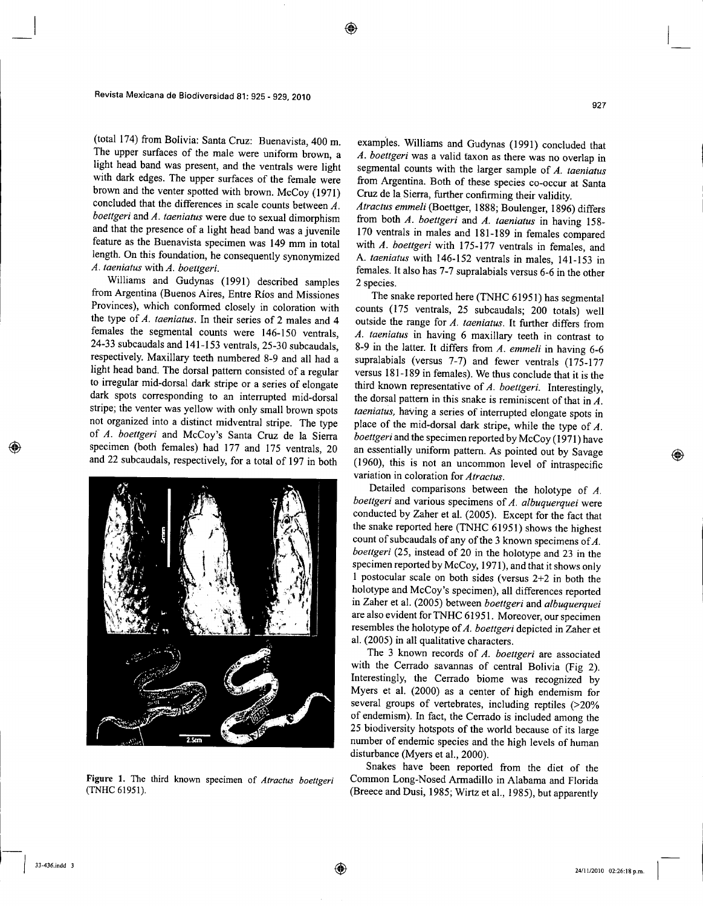(total 174) from Bolivia: Santa Cruz: Buenavista, 400 m. The upper surfaces of the male were uniform brown, a light head band was present, and the ventrals were light with dark edges. The upper surfaces of the female were brown and the venter spotted with brown. McCoy (1971) concluded that the differences in scale counts between *A. boettgeri* and A. taeniatus were due to sexual dimorphism and that the presence of a light head band was a juvenile feature as the Buenavista specimen was 149 mm in total length. On this foundation, he consequently synonymized *A. taeniatus* with *A. boettgeri.*

Williams and Gudynas (1991) described samples from Argentina (Buenos Aires, Entre Rios and Missiones Provinces), which conformed closely in coloration with the type of *A. taeniatus.* In their series of 2 males and 4 females the segmental counts were 146-150 ventrals, 24-33 subcaudals and 141-153 ventrals, 25-30 subcaudals, respectively. Maxillary teeth numbered 8-9 and all had a light head band. The dorsal pattern consisted of a regular to irregular mid-dorsal dark stripe or a series of elongate dark spots corresponding to an interrupted mid-dorsal stripe; the venter was yellow with only small brown spots not organized into a distinct midventral stripe. The type of *A. boettgeri* and McCoy's Santa Cruz de la Sierra specimen (both females) had 177 and 175 ventrals, 20 and 22 subcaudals, respectively, for a total of 197 in both



**Figure 1.** The third known specimen of *A/rac/us boettgeri* (TNHC 61951).

examples. Williams and Gudynas (1991) concluded that *A. boettgeri* was a valid faxon as there was no overlap in segmental counts with the larger sample of *A. taeniatus* from Argentina. Both of these species co-occur at Santa Cruz de la Sierra, further confirming their validity.

927

*Atractus emmeli* (Boettger, 1888; Boulenger, 1896) differs from both *A. boettgeri* and *A. taeniatus* in having 158- 170 ventrals in males and 18I-I89 in females compared with *A. boettgeri* with 175-I77 ventrals in females, and A. *taeniatus* with 146-152 ventrals in males, 141-153 in females. It also has 7-7 supralabials versus 6-6 in the other 2 species.

The snake reported here (TNHC 61951) has segmental counts (175 ventrals, 25 subcaudals; 200 totals) well outside the range for *A. taeniatus.* It further differs from *A. taeniatus* in having 6 maxillary teeth in contrast to 8-9 in the latter. It differs from *A. emmeli* in having 6-6 supralabials (versus 7-7) and fewer ventrals (175-177 versus 181-189 in females). We thus conclude that it is the third known representative of *A. boettgeri.* Interestingly, the dorsal pattern in this snake is reminiscent of that in *A. taeniatus,* having a series of interrupted elongate spots in place of the mid-dorsal dark stripe, while the type of *A. boettgeri* and the specimen reported by McCoy (1971) have an essentially uniform pattern. As pointed out by Savage (1960), this is not an uncommon level of intraspecific variation in coloration for *Atractus.*

Detailed comparisons between the holotype of *A. boettgeri* and various specimens of *A. albuquerquei* were conducted by Zaher et al. (2005). Except for the fact that the snake reported here (TNHC 61951) shows the highest count of subcaudals of any of the 3 known specimens of *A. boettgeri* (25, instead of 20 in the holotype and 23 in the specimen reported by McCoy, 197I), and that it shows only I postocular scale on both sides (versus 2+2 in both the holotype and McCoy's specimen), all differences reported in Zaher et al. (2005) between *boettgeri* and *albuquerquei* are also evident for TNHC 6I95 I. Moreover, our specimen resembles the holotype of *A. boettgeri* depicted in Zaher et al. (2005) in all qualitative characters.

The 3 known records of *A. boettgeri* are associated with the Cerrado savannas of central Bolivia (Fig 2). Interestingly, the Cerrado biome was recognized by Myers et al. (2000) as a center of high endemism for several groups of vertebrates, including reptiles (>20% of endemism). In fact, the Cerrado is included among the 25 biodiversity hotspots of the world because of its large number of endemic species and the high levels of human disturbance (Myers et aI., 2000).

Snakes have been reported from the diet of the Common Long-Nosed Armadillo in Alabama and Florida (Breece and Dusi, 1985; Wirtz et aI., 1985), but apparently

I 33-436.indd <sup>3</sup>

◈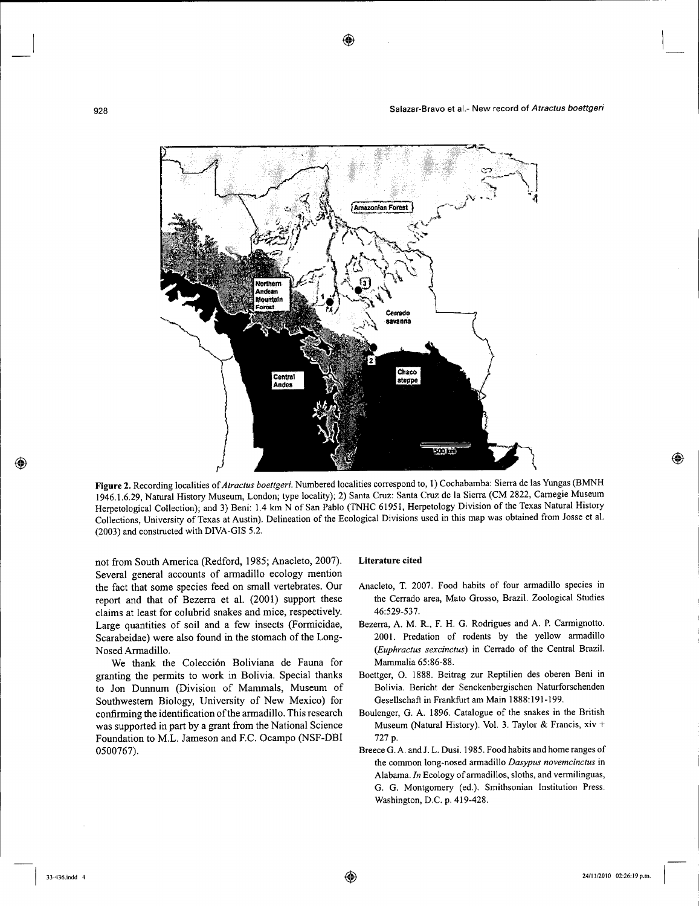

**Figure** 2. Recording localities of *Atractus boettgeri.* Numbered localities correspond to, I) Cochabamba: Sierra de las Yungas (BMNH 1946.1.6.29, Natural History Museum, London; type locality); 2) Santa Cruz: Santa Cruz de la Sierra (CM 2822, Carnegie Museum Herpetological Collection); and 3) Beni: 1.4 km N of San Pablo (TNHC 61951, Herpetology Division of the Texas Natural History Collections, University of Texas at Austin). Delineation of the Ecological Divisions used in this map was obtained from Josse et al. (2003) and constructed with DIVA-GIS 5.2.

not from South America (Redford, 1985; Anacleto, 2007). Several general accounts of armadillo ecology mention the fact that some species feed on small vertebrates. Our report and that of Bezerra et al. (2001) support these claims at least for colubrid snakes and mice, respectively. Large quantities of soil and a few insects (Formicidae, Scarabeidae) were also found in the stomach of the Long-Nosed Armadillo.

We thank the Colección Boliviana de Fauna for granting the permits to work in Bolivia. Special thanks to Jon Dunnum (Division of Mammals, Museum of Southwestern Biology, University of New Mexico) for confirming the identification of the armadillo. This research was supported in part by a grant from the National Science Foundation to M.L. Jameson and F.C. Ocampo (NSF-DBI 0500767).

#### **Literature cited**

- Anacleto, T. 2007. Food habits of four armadillo species in the Cerrado area, Mato Grosso, Brazil. Zoological Studies 46:529-537.
- Bezerra, A. M. R., F. H. G. Rodrigues and A. P. Carmignotto. 2001. Predation of rodents by the yellow armadillo *(Euphractus sexcinctus)* in Cerrado of the Central Brazil. Mammalia 65:86-88.
- Boettger, O. 1888. Beitrag zur Reptilien des oberen Beni in Bolivia. Bericht der Senckenbergischen Naturforschenden Gesellschaft in Frankfurt am Main 1888:191-199.
- Boulenger, G. A. 1896. Catalogue of the snakes in the British Museum (Natural History). Vol. 3. Taylor & Francis, xiv + 727 p.
- Breece G. A. and J. L. Dusi. 1985. Food habits and home ranges of the common long-nosed armadillo *Dasypus novemcinctus* in Alabama. *In* Ecology of armadillos, sloths, and vermilinguas, G. G. Montgomery (ed.). Smithsonian Institution Press. Washington, D.C. p. 419-428.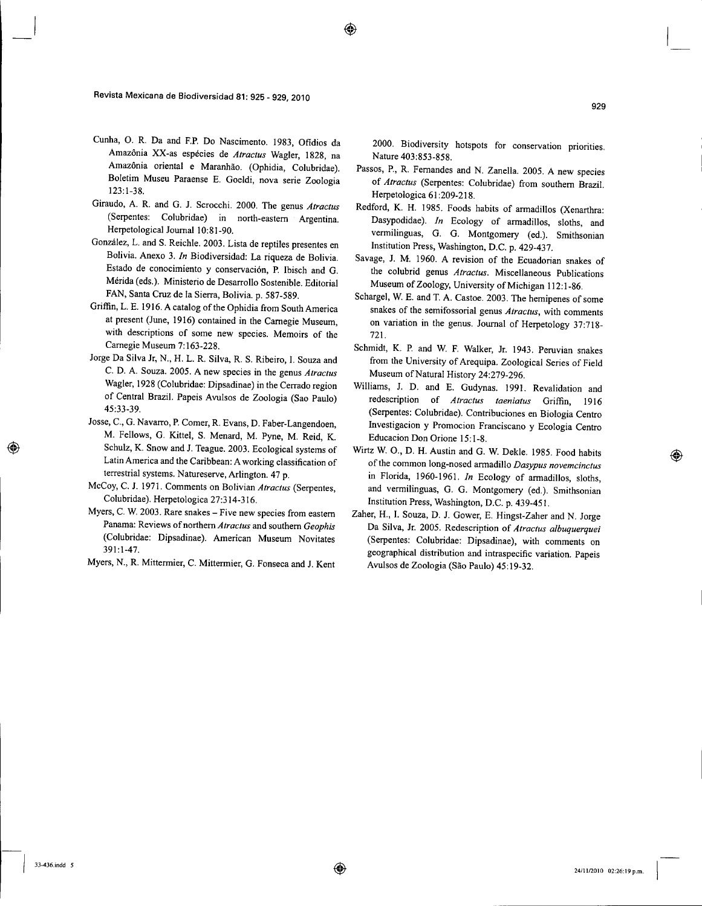Revista Mexicana de Biodiversidad 81: 925 - 929, 2010

- Cunha, O. R. Da and EP. Do Nascimento. 1983, Ofidios da Amazonia XX-as especies de *Atraetus* Wagler, 1828, na Amazonia oriental e Maranhao. (Ophidia, Colubridae). Boletim Museu Paraense E. Goeldi, nova serie Zoologia 123:1-38.
- Giraudo, A. R. and G. 1. Scrocchi. 2000. The genus *Atraetus* (Serpentes: Colubridae) in north-eastern Argentina. Herpetological Journal 10:81-90.
- Gonzalez, L. and S. Reichle. 2003. Lista de reptiles presentes en Bolivia. Anexo 3. *In* Biodiversidad: La riqueza de Bolivia. Estado de conocimiento y conservación, P. Ibisch and G. Merida (eds.). Ministerio de Desarrollo Sostenible. Editorial FAN, Santa Cruz de la Sierra, Bolivia. p. 587-589.
- Griffin, L. E. 1916. A catalog of the Ophidia from South America at present (June, 1916) contained in the Carnegie Museum, with descriptions of some new species. Memoirs of the Carnegie Museum 7:163-228.
- Jorge Da Silva Jr, N., H. L. R. Silva, R. S. Ribeiro, I. Souza and C. D. A. Souza. 2005. A new species in the genus *Atraetus* Wagler, 1928 (Colubridae: Dipsadinae) in the Cerrado region of Central Brazil. Papeis Avulsos de Zoologia (Sao Paulo) 45:33-39.
- Josse, C., G. Navarro, P.Comer, R. Evans, D. Faber-Langendoen, M. Fellows, G. Kittel, S. Menard, M. Pyne, M. Reid, K. Schulz, K. Snow and 1. Teague. 2003. Ecological systems of Latin America and the Caribbean: A working classification of terrestrial systems. Natureserve, Arlington. 47 p.
- McCoy, C. J. 1971. Comments on Bolivian *Atraetus* (Serpentes, Colubridae). Herpetologica 27:314-3 I6.
- Myers, C. W. 2003. Rare snakes Five new species from eastern Panama: Reviews of northern *Atraetus* and southern *Geophis* (Co1ubridae: Dipsadinae). American Museum Novitates 391:1-47.
- Myers, N., R. Mittermier, C. Mittermier, G. Fonseca and J. Kent

2000. Biodiversity hotspots for conservation priorities. Nature 403:853-858.

- Passos, P., R. Fernandes and N. Zanella. 2005. A new species of *Atraetus* (Serpentes: Colubridae) from southern Brazil. Herpetologica 61:209-218.
- Redford, K. H. 1985. Foods habits of armadillos (Xenarthra: Dasypodidae). *In* Ecology of armadillos, sloths, and vermilinguas, G. G. Montgomery (ed.). Smithsonian Institution Press, Washington, D.C. p. 429-437.
- Savage, 1. M. 1960. A revision of the Ecuadorian snakes of the colubrid genus *Atraetus.* Miscellaneous Publications Museum of Zoology, University of Michigan 112:1-86.
- Schargel, W. E. and T. A. Castoe. 2003. The hemipenes of some snakes of the semifossorial genus *Atraetus,* with comments on variation in the genus. Journal of Herpetology 37:718- 721.
- Schmidt, K. P. and W. E Walker, Jr. 1943. Peruvian snakes from the University of Arequipa. Zoological Series of Field Museum of Natural History 24:279-296.
- Williams, J. D. and E. Gudynas. 1991. Revalidation and redescription of *Atraetus taeniatus* Griffin, 1916 (Serpentes: Colubridae). Contribuciones en Biologia Centro Investigacion y Promocion Franciscano y Ecologia Centro Educacion Don Orione 15:1-8.
- Wirtz W. 0., D. H. Austin and G. W. Dekle. 1985. Food habits of the common long-nosed armadillo *Dasypus novemeinetus* in Florida, 1960-1961. *In* Ecology of armadillos, sloths, and vermilinguas, G. G. Montgomery (ed.). Smithsonian Institution Press, Washington, D.C. p. 439-451.
- Zaher, H., I. Souza, D. 1. Gower, E. Hingst-Zaher and N. Jorge Da Silva, Jr. 2005. Redescription of *Atraetus albuquerquei* (Serpentes: Colubridae: Dipsadinae), with comments on geographical distribution and intraspecific variation. Papeis Avulsos de Zoologia (Sao Paulo) 45:19-32.

◈

♠